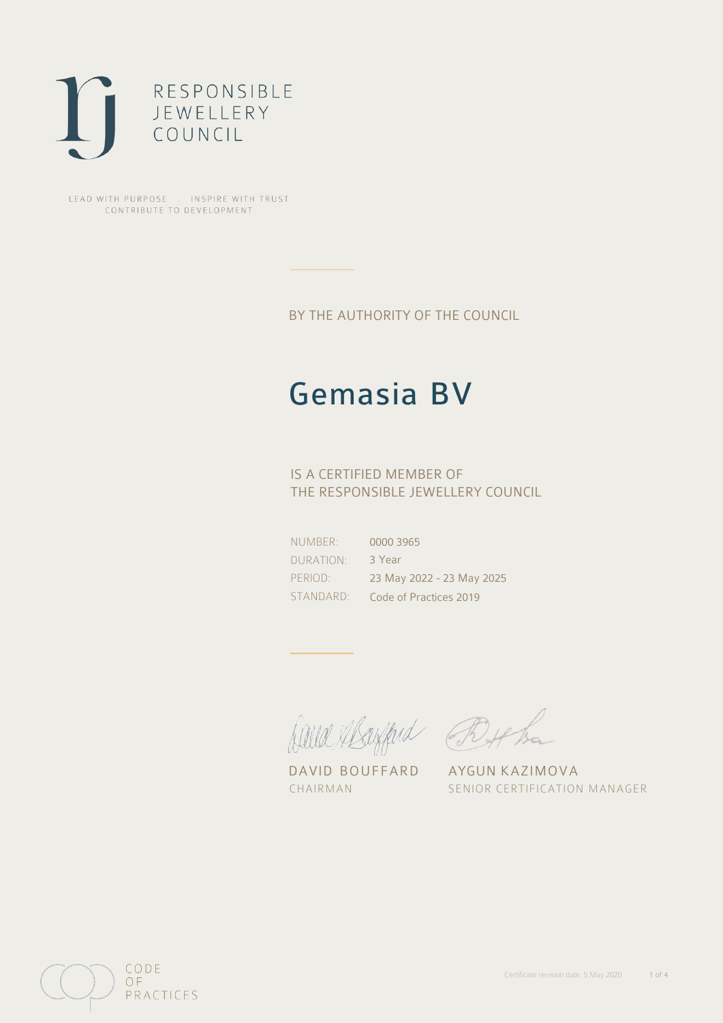

LEAD WITH PURPOSE . INSPIRE WITH TRUST CONTRIBUTE TO DEVELOPMENT

BY THE AUTHORITY OF THE COUNCIL

# Gemasia BV

## IS A CERTIFIED MEMBER OF THE RESPONSIBLE JEWELLERY COUNCIL

NUMBER: DURATION: PERIOD:

STANDARD: Code of Practices 2019 0000 3965 3 Year 23 May 2022 - 23 May 2025

David Mayfard Bythe

DAVID BOUFFARD AYGUN KAZIMOVA

CHAIRMAN SENIOR CERTIFICATION MANAGER

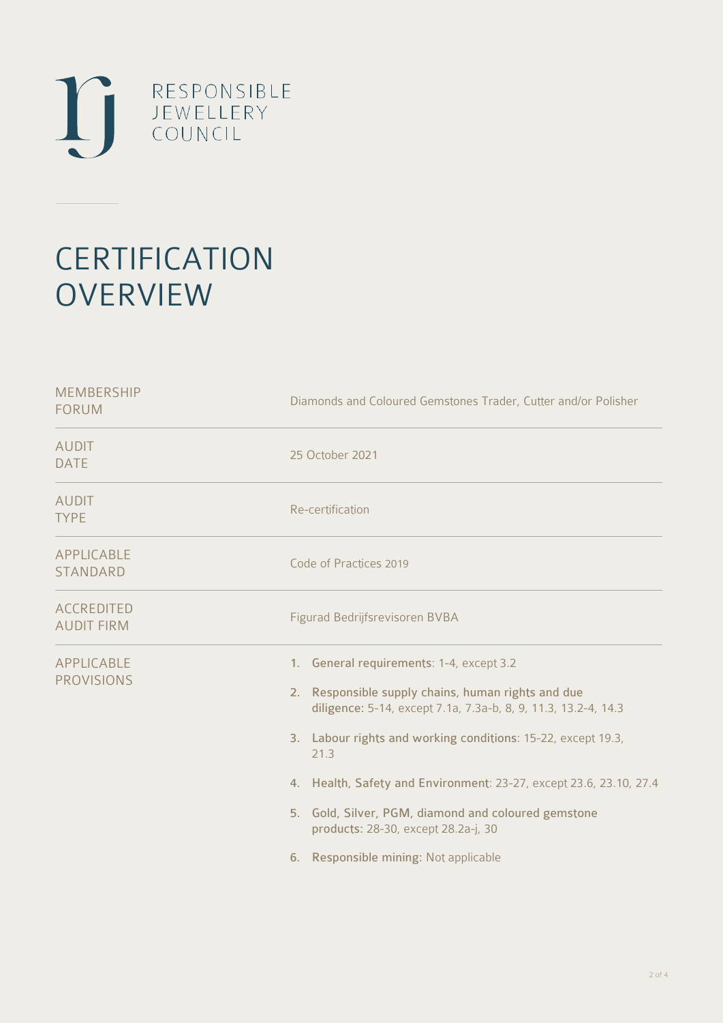

# **CERTIFICATION OVERVIEW**

| <b>MEMBERSHIP</b><br><b>FORUM</b>      | Diamonds and Coloured Gemstones Trader, Cutter and/or Polisher                                                                                                                                                                                                                                                                                                                                                                                        |
|----------------------------------------|-------------------------------------------------------------------------------------------------------------------------------------------------------------------------------------------------------------------------------------------------------------------------------------------------------------------------------------------------------------------------------------------------------------------------------------------------------|
| <b>AUDIT</b><br><b>DATE</b>            | 25 October 2021                                                                                                                                                                                                                                                                                                                                                                                                                                       |
| <b>AUDIT</b><br><b>TYPE</b>            | Re-certification                                                                                                                                                                                                                                                                                                                                                                                                                                      |
| APPLICABLE<br><b>STANDARD</b>          | Code of Practices 2019                                                                                                                                                                                                                                                                                                                                                                                                                                |
| <b>ACCREDITED</b><br><b>AUDIT FIRM</b> | Figurad Bedrijfsrevisoren BVBA                                                                                                                                                                                                                                                                                                                                                                                                                        |
| <b>APPLICABLE</b><br><b>PROVISIONS</b> | 1. General requirements: 1-4, except 3.2<br>2. Responsible supply chains, human rights and due<br>diligence: 5-14, except 7.1a, 7.3a-b, 8, 9, 11.3, 13.2-4, 14.3<br>3. Labour rights and working conditions: 15-22, except 19.3,<br>21.3<br>4. Health, Safety and Environment: 23-27, except 23.6, 23.10, 27.4<br>5. Gold, Silver, PGM, diamond and coloured gemstone<br>products: 28-30, except 28.2a-j, 30<br>6. Responsible mining: Not applicable |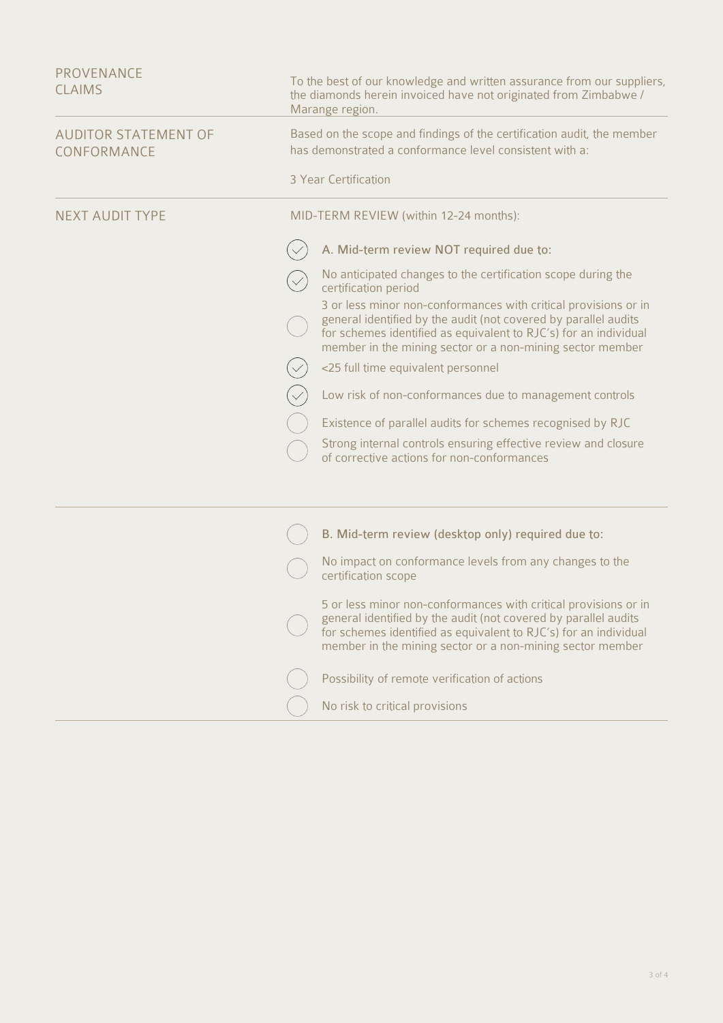| PROVENANCE<br><b>CLAIMS</b>                | To the best of our knowledge and written assurance from our suppliers,<br>the diamonds herein invoiced have not originated from Zimbabwe /<br>Marange region.                                                                                                       |
|--------------------------------------------|---------------------------------------------------------------------------------------------------------------------------------------------------------------------------------------------------------------------------------------------------------------------|
| <b>AUDITOR STATEMENT OF</b><br>CONFORMANCE | Based on the scope and findings of the certification audit, the member<br>has demonstrated a conformance level consistent with a:                                                                                                                                   |
|                                            | 3 Year Certification                                                                                                                                                                                                                                                |
| <b>NEXT AUDIT TYPE</b>                     | MID-TERM REVIEW (within 12-24 months):                                                                                                                                                                                                                              |
|                                            | A. Mid-term review NOT required due to:                                                                                                                                                                                                                             |
|                                            | No anticipated changes to the certification scope during the<br>certification period                                                                                                                                                                                |
|                                            | 3 or less minor non-conformances with critical provisions or in<br>general identified by the audit (not covered by parallel audits<br>for schemes identified as equivalent to RJC's) for an individual<br>member in the mining sector or a non-mining sector member |
|                                            | <25 full time equivalent personnel                                                                                                                                                                                                                                  |
|                                            | Low risk of non-conformances due to management controls                                                                                                                                                                                                             |
|                                            | Existence of parallel audits for schemes recognised by RJC                                                                                                                                                                                                          |
|                                            | Strong internal controls ensuring effective review and closure<br>of corrective actions for non-conformances                                                                                                                                                        |
|                                            |                                                                                                                                                                                                                                                                     |
|                                            | B. Mid-term review (desktop only) required due to:                                                                                                                                                                                                                  |
|                                            | No impact on conformance levels from any changes to the<br>certification scope                                                                                                                                                                                      |
|                                            | 5 or less minor non-conformances with critical provisions or in<br>general identified by the audit (not covered by parallel audits<br>for schemes identified as equivalent to RJC's) for an individual<br>member in the mining sector or a non-mining sector member |
|                                            | Possibility of remote verification of actions                                                                                                                                                                                                                       |
|                                            | No risk to critical provisions                                                                                                                                                                                                                                      |